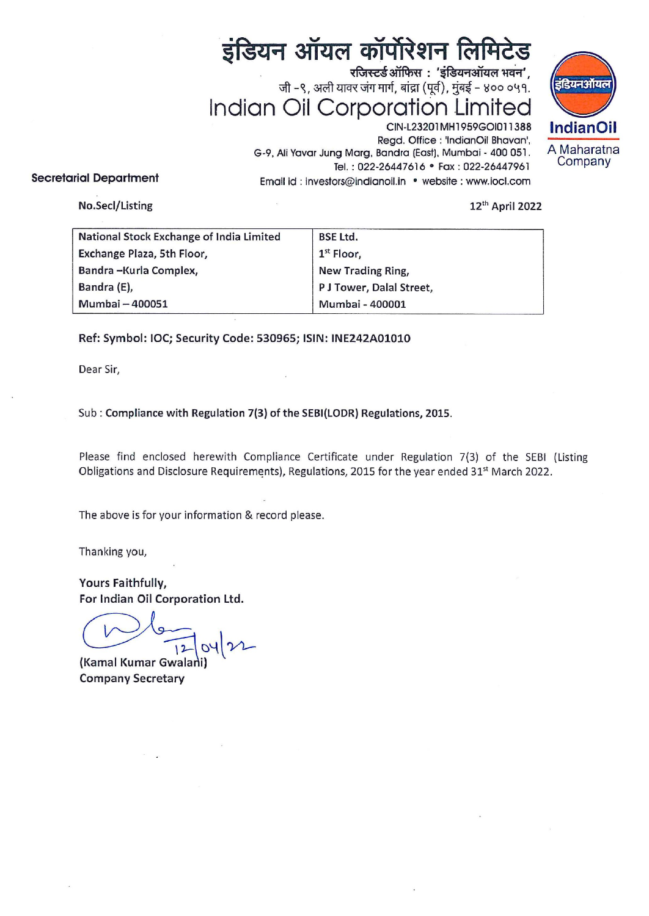# इंडियन ऑयल कॉर्पोरेशन लिमिटेड

 रजिस्टर्ड ऑफिस: 'इंडियनऑयल भवन', जी -९, अली यावर जंग मार्ग, बांद्रा (पूर्व), मुंबई - ४०० ०५१. Indian Oil Corporation Limited



CIN-L23201MH1959GO1011388 |ndianOil Regd. Office : 'IndianOil Bhavan', 6-9, Ali Yavar Jung Marg, Bandra (East), Mumbai - 400051. A Maharatna Tel.: 022-26447616 · Fax: 022-26447961 Secretarial Department Email id : investors@indianoil.in • website : www.iocl.com

### No.Secl/Listing 12" April 2022

| इंडियन ऑयल कॉर्पोरेशन लिमिटेड                                   |                                                            |
|-----------------------------------------------------------------|------------------------------------------------------------|
| रजिस्टर्ड ऑफिस: 'इंडियनऑयल भवन',                                |                                                            |
| जी -९, अली यावर जंग मार्ग, बांद्रा (पूर्व), मुंबई - ४०० ०५१.    |                                                            |
| Indian Oil Corporation Limited                                  |                                                            |
| CIN-L23201MH1959GOI011388<br>Regd. Office : 'IndianOil Bhavan', |                                                            |
|                                                                 | G-9, Ali Yavar Jung Marg, Bandra (East), Mumbai - 400 051. |
|                                                                 | Tel.: 022-26447616 · Fax: 022-26447961                     |
| <b>rial Department</b>                                          | Email id : investors@indianoil.in · website : www.iocl.com |
| No.Secl/Listing                                                 | 12th April 2022                                            |
| National Stock Exchange of India Limited                        | <b>BSE Ltd.</b>                                            |
| Exchange Plaza, 5th Floor,                                      | $1st$ Floor,                                               |
| Bandra-Kurla Complex,                                           | New Trading Ring,                                          |
| Bandra (E),                                                     | P J Tower, Dalal Street,                                   |
| Mumbai - 400051                                                 | Mumbai - 400001                                            |
|                                                                 |                                                            |

## Ref: Symbol: 1OC; Security Code: 530965; ISIN: INE242A01010

Dear Sir,

Sub : Compliance with Regulation 7(3) of the SEBI(LODR) Regulations, 2015.

Please find enclosed herewith Compliance Certificate under Regulation 7(3) of the SEBI (Listing Obligations and Disclosure Requirements), Regulations, 2015 for the year ended 31\* March 2022.

The above is for your information & record please.

Thanking you,

Yours Faithfully, For Indian Oil Corporation Ltd.

Faithfully,<br>For Indian Oil Corporation Ltd.

(Kamal Kumar Gwalani) Company Secretary